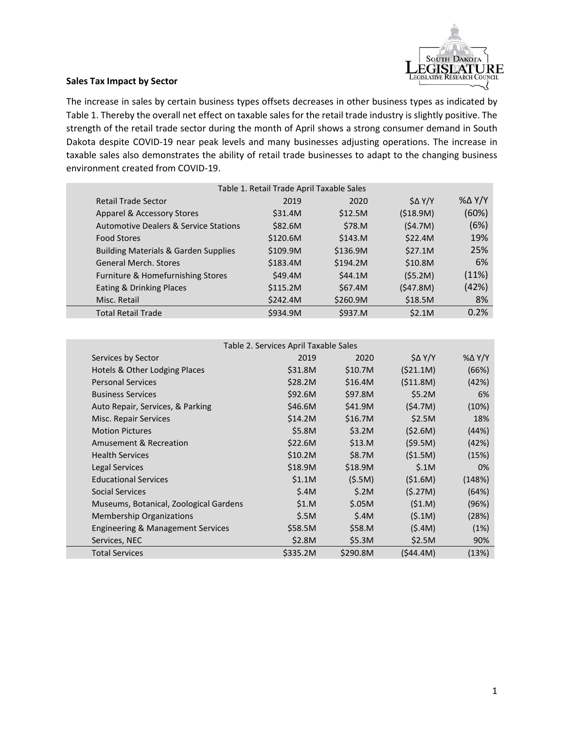

## **Sales Tax Impact by Sector**

The increase in sales by certain business types offsets decreases in other business types as indicated by Table 1. Thereby the overall net effect on taxable sales for the retail trade industry is slightly positive. The strength of the retail trade sector during the month of April shows a strong consumer demand in South Dakota despite COVID-19 near peak levels and many businesses adjusting operations. The increase in taxable sales also demonstrates the ability of retail trade businesses to adapt to the changing business environment created from COVID-19.

| Table 1. Retail Trade April Taxable Sales        |          |          |               |                   |  |
|--------------------------------------------------|----------|----------|---------------|-------------------|--|
| Retail Trade Sector                              | 2019     | 2020     | $S\Delta$ Y/Y | $\%$ $\Delta$ Y/Y |  |
| Apparel & Accessory Stores                       | \$31.4M  | \$12.5M  | (518.9M)      | (60%)             |  |
| <b>Automotive Dealers &amp; Service Stations</b> | \$82.6M  | \$78.M   | (54.7M)       | (6%)              |  |
| <b>Food Stores</b>                               | \$120.6M | \$143.M  | \$22.4M       | 19%               |  |
| <b>Building Materials &amp; Garden Supplies</b>  | \$109.9M | \$136.9M | \$27.1M       | 25%               |  |
| <b>General Merch, Stores</b>                     | \$183.4M | \$194.2M | \$10.8M       | 6%                |  |
| Furniture & Homefurnishing Stores                | \$49.4M  | \$44.1M  | (55.2M)       | (11%)             |  |
| Eating & Drinking Places                         | \$115.2M | \$67.4M  | (547.8M)      | (42%)             |  |
| Misc. Retail                                     | \$242.4M | \$260.9M | \$18.5M       | 8%                |  |
| <b>Total Retail Trade</b>                        | \$934.9M | \$937.M  | \$2.1M        | 0.2%              |  |
|                                                  |          |          |               |                   |  |

| Table 2. Services April Taxable Sales  |          |          |           |        |  |
|----------------------------------------|----------|----------|-----------|--------|--|
| Services by Sector                     | 2019     | 2020     | \$∆ Y/Y   | %∆ Y/Y |  |
| Hotels & Other Lodging Places          | \$31.8M  | \$10.7M  | (\$21.1M) | (66%)  |  |
| <b>Personal Services</b>               | \$28.2M  | \$16.4M  | (511.8M)  | (42%)  |  |
| <b>Business Services</b>               | \$92.6M  | \$97.8M  | \$5.2M    | 6%     |  |
| Auto Repair, Services, & Parking       | \$46.6M  | \$41.9M  | (54.7M)   | (10%)  |  |
| Misc. Repair Services                  | \$14.2M  | \$16.7M  | \$2.5M    | 18%    |  |
| <b>Motion Pictures</b>                 | \$5.8M   | \$3.2M   | (52.6M)   | (44%)  |  |
| <b>Amusement &amp; Recreation</b>      | \$22.6M  | \$13.M   | (59.5M)   | (42%)  |  |
| <b>Health Services</b>                 | \$10.2M  | \$8.7M   | (51.5M)   | (15%)  |  |
| Legal Services                         | \$18.9M  | \$18.9M  | \$.1M     | 0%     |  |
| <b>Educational Services</b>            | \$1.1M   | (5.5M)   | (51.6M)   | (148%) |  |
| Social Services                        | \$.4M    | \$.2M    | (5.27M)   | (64%)  |  |
| Museums, Botanical, Zoological Gardens | \$1.M    | \$.05M   | (51.M)    | (96%)  |  |
| <b>Membership Organizations</b>        | \$.5M    | \$.4M    | (5.1M)    | (28%)  |  |
| Engineering & Management Services      | \$58.5M  | \$58.M   | (5.4M)    | (1%)   |  |
| Services, NEC                          | \$2.8M   | \$5.3M   | \$2.5M    | 90%    |  |
| <b>Total Services</b>                  | \$335.2M | \$290.8M | (\$44.4M) | (13%)  |  |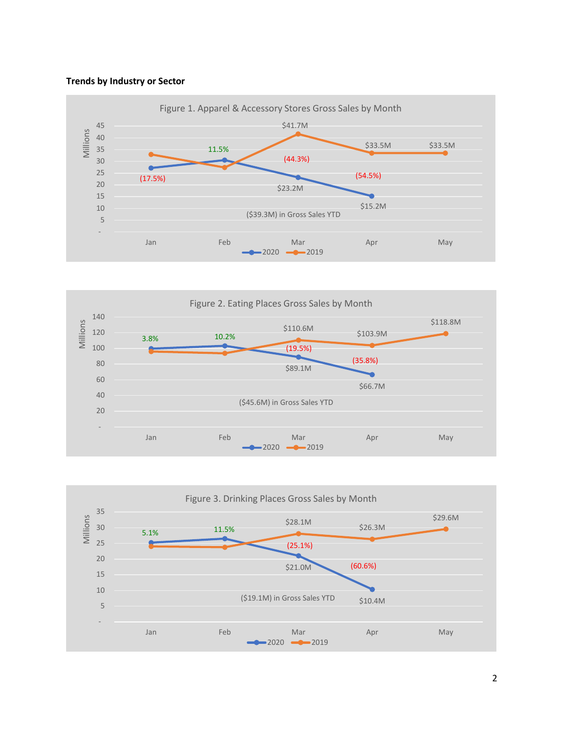## **Trends by Industry or Sector**





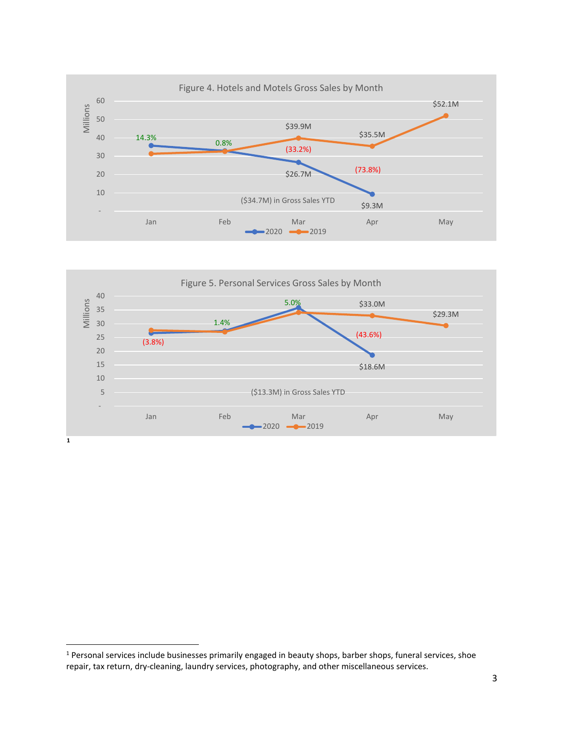



<span id="page-2-0"></span><sup>&</sup>lt;sup>1</sup> Personal services include businesses primarily engaged in beauty shops, barber shops, funeral services, shoe repair, tax return, dry-cleaning, laundry services, photography, and other miscellaneous services.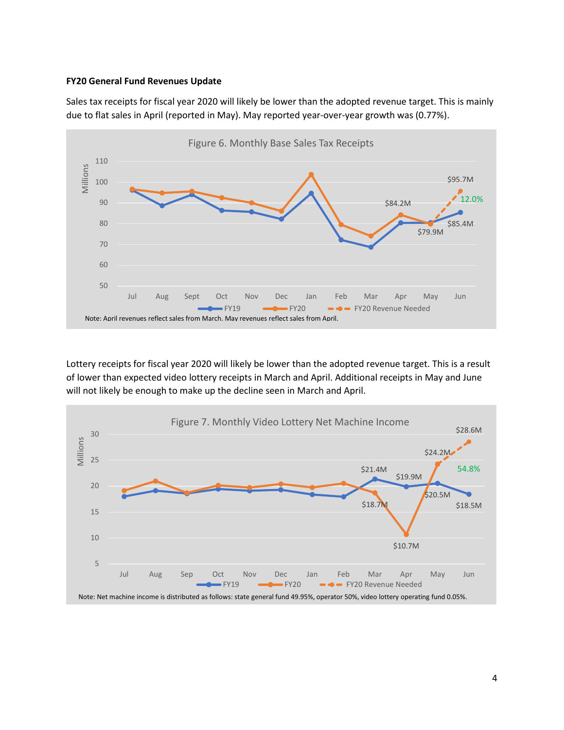## **FY20 General Fund Revenues Update**

Sales tax receipts for fiscal year 2020 will likely be lower than the adopted revenue target. This is mainly due to flat sales in April (reported in May). May reported year-over-year growth was (0.77%).



Lottery receipts for fiscal year 2020 will likely be lower than the adopted revenue target. This is a result of lower than expected video lottery receipts in March and April. Additional receipts in May and June will not likely be enough to make up the decline seen in March and April.